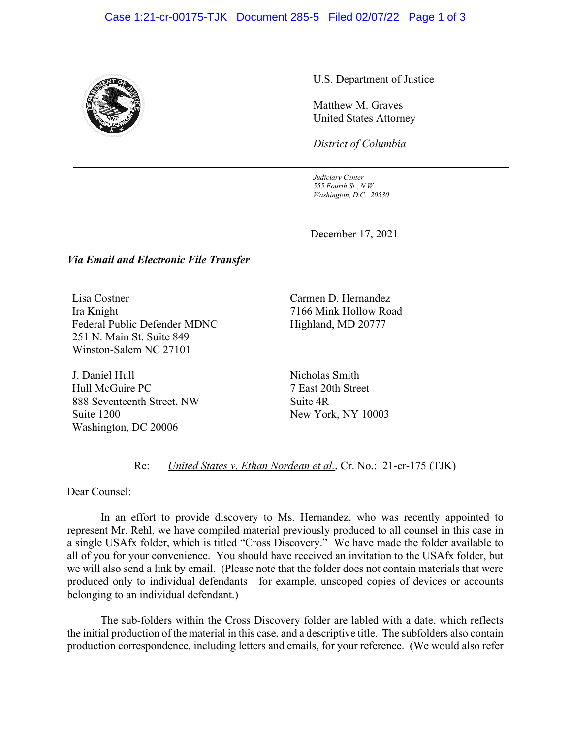## Case 1:21-cr-00175-TJK Document 285-5 Filed 02/07/22 Page 1 of 3



U.S. Department of Justice

Matthew M. Graves United States Attorney

*District of Columbia*

*Judiciary Center 555 Fourth St., N.W. Washington, D.C. 20530*

December 17, 2021

## *Via Email and Electronic File Transfer*

Lisa Costner Ira Knight Federal Public Defender MDNC 251 N. Main St. Suite 849 Winston-Salem NC 27101

J. Daniel Hull Hull McGuire PC 888 Seventeenth Street, NW Suite 1200 Washington, DC 20006

Carmen D. Hernandez 7166 Mink Hollow Road Highland, MD 20777

Nicholas Smith 7 East 20th Street Suite 4R New York, NY 10003

## Re: *United States v. Ethan Nordean et al.*, Cr. No.: 21-cr-175 (TJK)

Dear Counsel:

In an effort to provide discovery to Ms. Hernandez, who was recently appointed to represent Mr. Rehl, we have compiled material previously produced to all counsel in this case in a single USAfx folder, which is titled "Cross Discovery." We have made the folder available to all of you for your convenience. You should have received an invitation to the USAfx folder, but we will also send a link by email. (Please note that the folder does not contain materials that were produced only to individual defendants—for example, unscoped copies of devices or accounts belonging to an individual defendant.)

The sub-folders within the Cross Discovery folder are labled with a date, which reflects the initial production of the material in this case, and a descriptive title. The subfolders also contain production correspondence, including letters and emails, for your reference. (We would also refer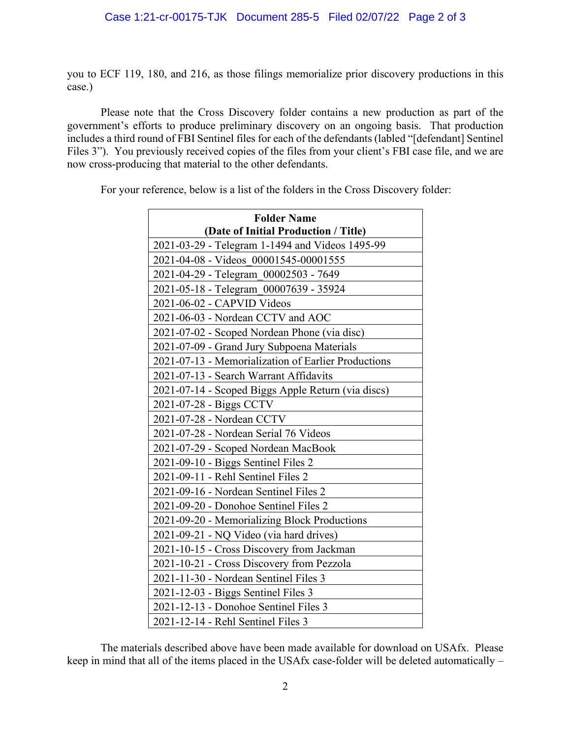you to ECF 119, 180, and 216, as those filings memorialize prior discovery productions in this case.)

Please note that the Cross Discovery folder contains a new production as part of the government's efforts to produce preliminary discovery on an ongoing basis. That production includes a third round of FBI Sentinel files for each of the defendants (labled "[defendant] Sentinel Files 3"). You previously received copies of the files from your client's FBI case file, and we are now cross-producing that material to the other defendants.

For your reference, below is a list of the folders in the Cross Discovery folder:

| <b>Folder Name</b>                                  |
|-----------------------------------------------------|
| (Date of Initial Production / Title)                |
| 2021-03-29 - Telegram 1-1494 and Videos 1495-99     |
| 2021-04-08 - Videos 00001545-00001555               |
| 2021-04-29 - Telegram_00002503 - 7649               |
| 2021-05-18 - Telegram_00007639 - 35924              |
| 2021-06-02 - CAPVID Videos                          |
| 2021-06-03 - Nordean CCTV and AOC                   |
| 2021-07-02 - Scoped Nordean Phone (via disc)        |
| 2021-07-09 - Grand Jury Subpoena Materials          |
| 2021-07-13 - Memorialization of Earlier Productions |
| 2021-07-13 - Search Warrant Affidavits              |
| 2021-07-14 - Scoped Biggs Apple Return (via discs)  |
| 2021-07-28 - Biggs CCTV                             |
| 2021-07-28 - Nordean CCTV                           |
| 2021-07-28 - Nordean Serial 76 Videos               |
| 2021-07-29 - Scoped Nordean MacBook                 |
| 2021-09-10 - Biggs Sentinel Files 2                 |
| 2021-09-11 - Rehl Sentinel Files 2                  |
| 2021-09-16 - Nordean Sentinel Files 2               |
| 2021-09-20 - Donohoe Sentinel Files 2               |
| 2021-09-20 - Memorializing Block Productions        |
| 2021-09-21 - NQ Video (via hard drives)             |
| 2021-10-15 - Cross Discovery from Jackman           |
| 2021-10-21 - Cross Discovery from Pezzola           |
| 2021-11-30 - Nordean Sentinel Files 3               |
| 2021-12-03 - Biggs Sentinel Files 3                 |
| 2021-12-13 - Donohoe Sentinel Files 3               |
| 2021-12-14 - Rehl Sentinel Files 3                  |

The materials described above have been made available for download on USAfx. Please keep in mind that all of the items placed in the USAfx case-folder will be deleted automatically –